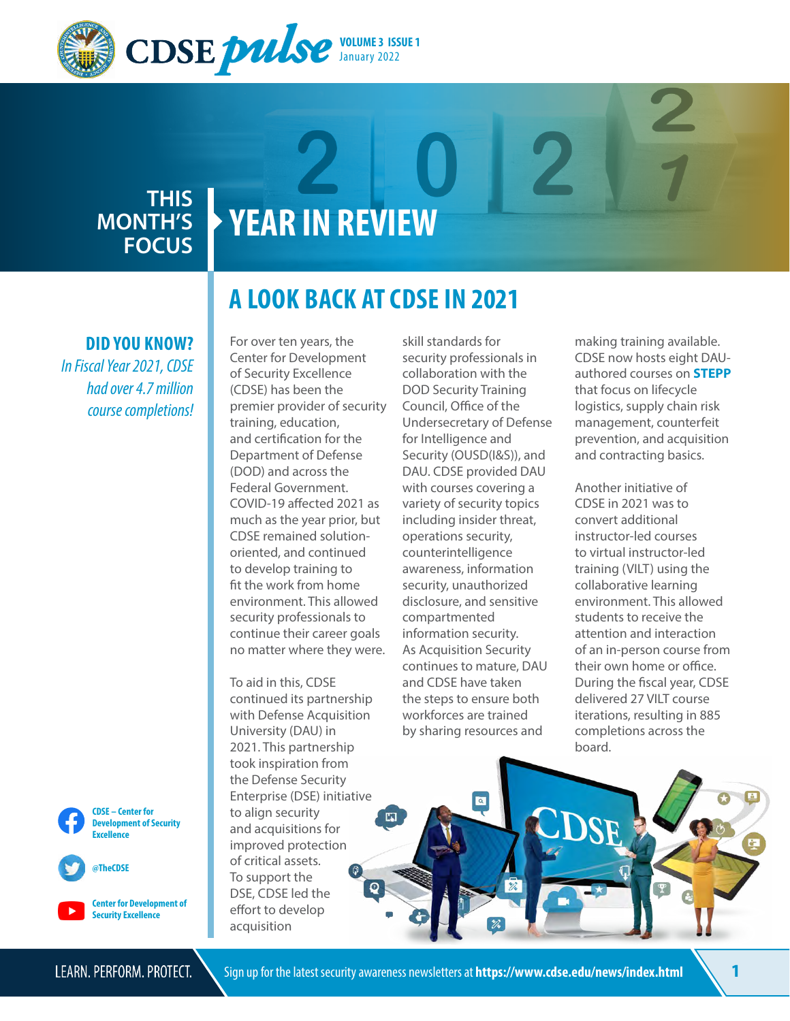

### **THIS MONTH'S FOCUS**

# **YEAR IN REVIEW**

### **DID YOU KNOW?**

*In Fiscal Year 2021, CDSE had over 4.7 million course completions!* 





**Center for Development of Security Excellence** 

## **A LOOK BACK AT CDSE IN 2021**

For over ten years, the Center for Development of Security Excellence (CDSE) has been the premier provider of security training, education, and certifcation for the Department of Defense (DOD) and across the Federal Government. COVID-19 afected 2021 as much as the year prior, but CDSE remained solutionoriented, and continued to develop training to ft the work from home environment. This allowed security professionals to continue their career goals no matter where they were.

To aid in this, CDSE continued its partnership with Defense Acquisition University (DAU) in 2021. This partnership took inspiration from the Defense Security Enterprise (DSE) initiative to align security and acquisitions for improved protection of critical assets. To support the DSE, CDSE led the effort to develop acquisition

skill standards for security professionals in collaboration with the DOD Security Training Council, Office of the Undersecretary of Defense for Intelligence and Security (OUSD(I&S)), and DAU. CDSE provided DAU with courses covering a variety of security topics including insider threat, operations security, counterintelligence awareness, information security, unauthorized disclosure, and sensitive compartmented information security. As Acquisition Security continues to mature, DAU and CDSE have taken the steps to ensure both workforces are trained by sharing resources and

 $\overline{\mathbf{a}}$ 

making training available. CDSE now hosts eight DAUauthored courses on **[STEPP](https://cdse.usalearning.gov/local/pwt_privacy_policy/view.php)**  that focus on lifecycle logistics, supply chain risk management, counterfeit prevention, and acquisition and contracting basics.

Another initiative of CDSE in 2021 was to convert additional instructor-led courses to virtual instructor-led training (VILT) using the collaborative learning environment. This allowed students to receive the attention and interaction of an in-person course from their own home or office. During the fscal year, CDSE delivered 27 VILT course iterations, resulting in 885 completions across the board.



囗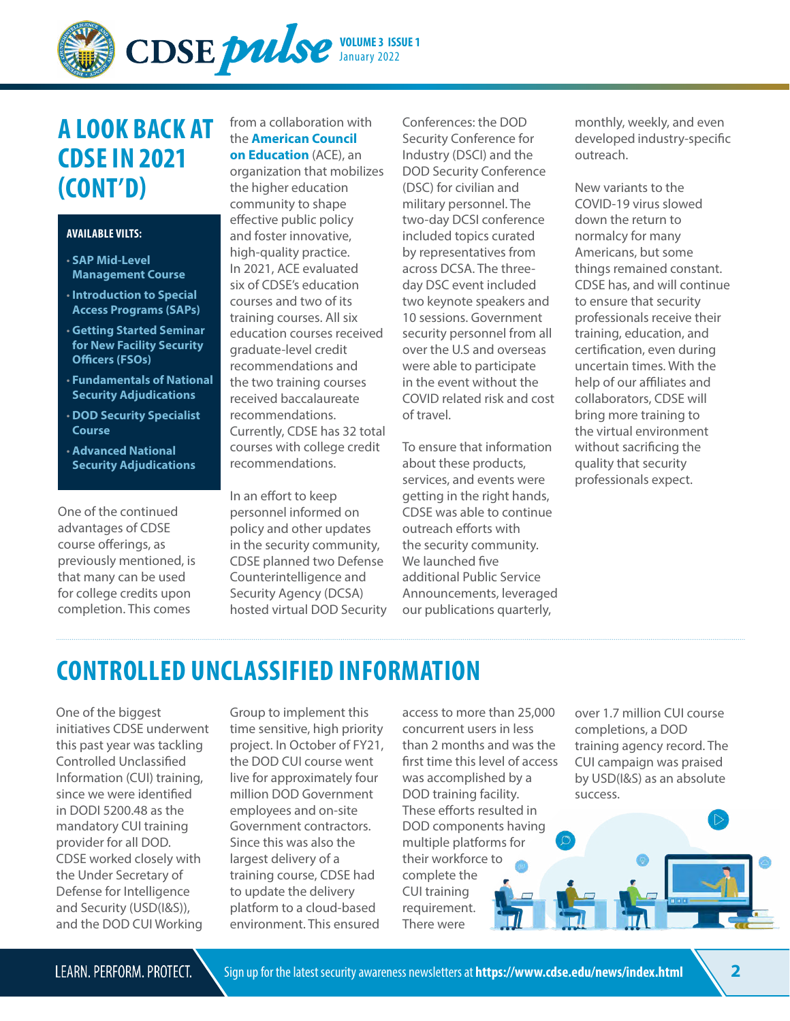

### **A LOOK BACK AT CDSE IN 2021 (CONT'D)**

### **AVAILABLE VILTS:**

- **SAP Mid-Level [Management Course](https://www.cdse.edu/Training/Virtual-Instructor-led-Courses/SA201/)**
- **Introduction to Special [Access Programs \(SAPs\)](https://www.cdse.edu/Training/Virtual-Instructor-led-Courses/SA101/)**
- **[Getting Started Seminar](https://www.cdse.edu/Training/Virtual-Instructor-led-Courses/IS121/)  for New Facility Security Officers (FSOs)**
- **[Fundamentals of National](https://www.cdse.edu/Training/Virtual-Instructor-led-Courses/PS101/)  Security Adjudications**
- **[DOD Security Specialist](https://www.cdse.edu/Training/Virtual-Instructor-led-Courses/GS101/)  Course**
- **Advanced National [Security Adjudications](https://www.cdse.edu/Training/Virtual-Instructor-led-Courses/PS301/)**

One of the continued advantages of CDSE course offerings, as previously mentioned, is that many can be used for college credits upon completion. This comes

from a collaboration with the **[American Council](https://www.acenet.edu/Pages/default.aspx)  on Education** (ACE), an organization that mobilizes the higher education community to shape efective public policy and foster innovative, high-quality practice. In 2021, ACE evaluated six of CDSE's education courses and two of its training courses. All six education courses received graduate-level credit recommendations and the two training courses received baccalaureate recommendations. Currently, CDSE has 32 total courses with college credit recommendations.

In an effort to keep personnel informed on policy and other updates in the security community, CDSE planned two Defense Counterintelligence and Security Agency (DCSA) hosted virtual DOD Security Conferences: the DOD Security Conference for Industry (DSCI) and the DOD Security Conference (DSC) for civilian and military personnel. The two-day DCSI conference included topics curated by representatives from across DCSA. The threeday DSC event included two keynote speakers and 10 sessions. Government security personnel from all over the U.S and overseas were able to participate in the event without the COVID related risk and cost of travel.

To ensure that information about these products, services, and events were getting in the right hands, CDSE was able to continue outreach eforts with the security community. We launched five additional Public Service Announcements, leveraged our publications quarterly,

monthly, weekly, and even developed industry-specifc outreach.

New variants to the COVID-19 virus slowed down the return to normalcy for many Americans, but some things remained constant. CDSE has, and will continue to ensure that security professionals receive their training, education, and certifcation, even during uncertain times. With the help of our affiliates and collaborators, CDSE will bring more training to the virtual environment without sacrificing the quality that security professionals expect.

## **CONTROLLED UNCLASSIFIED INFORMATION**

One of the biggest initiatives CDSE underwent this past year was tackling Controlled Unclassifed Information (CUI) training, since we were identifed in DODI 5200.48 as the mandatory CUI training provider for all DOD. CDSE worked closely with the Under Secretary of Defense for Intelligence and Security (USD(I&S)), and the DOD CUI Working

Group to implement this time sensitive, high priority project. In October of FY21, the DOD CUI course went live for approximately four million DOD Government employees and on-site Government contractors. Since this was also the largest delivery of a training course, CDSE had to update the delivery platform to a cloud-based environment. This ensured

access to more than 25,000 concurrent users in less than 2 months and was the frst time this level of access was accomplished by a DOD training facility. These efforts resulted in DOD components having multiple platforms for their workforce to complete the CUI training requirement. There were

over 1.7 million CUI course completions, a DOD training agency record. The CUI campaign was praised by USD(I&S) as an absolute success.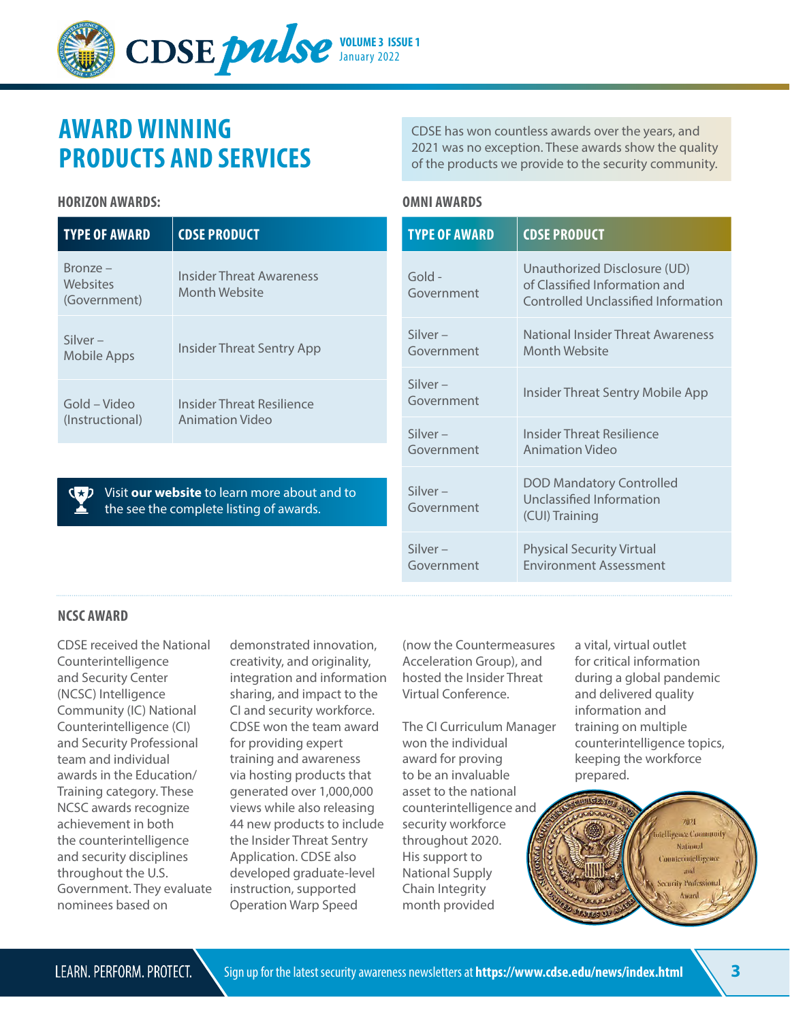

## **AWARD WINNING PRODUCTS AND SERVICES**

### **HORIZON AWARDS: OMNI AWARDS**

**TYPE OF AWARD CDSE PRODUCT** Bronze – **Websites** (Government) Insider Threat Awareness Month Website Silver – Silver –<br>Mobile Apps Insider Threat Sentry App Gold – Video (Instructional) Insider Threat Resilience Animation Video Gold - Government Silver – Government Silver – Silver –

Visit **[our website](https://www.cdse.edu/About-CDSE/Awards/)** to learn more about and to the see the complete listing of awards.

CDSE has won countless awards over the years, and 2021 was no exception. These awards show the quality of the products we provide to the security community.

| <b>TYPE OF AWARD</b>     | <b>CDSE PRODUCT</b>                                                                                  |
|--------------------------|------------------------------------------------------------------------------------------------------|
| Gold -<br>Government     | Unauthorized Disclosure (UD)<br>of Classified Information and<br>Controlled Unclassified Information |
| $Silver -$<br>Government | National Insider Threat Awareness<br>Month Website                                                   |
| $Silver -$<br>Government | Insider Threat Sentry Mobile App                                                                     |
| $Silver -$<br>Government | Insider Threat Resilience<br><b>Animation Video</b>                                                  |
| $Silver -$<br>Government | <b>DOD Mandatory Controlled</b><br>Unclassified Information<br>(CUI) Training                        |
| $Silver -$<br>Government | <b>Physical Security Virtual</b><br><b>Environment Assessment</b>                                    |

### **NCSC AWARD**

CDSE received the National Counterintelligence and Security Center (NCSC) Intelligence Community (IC) National Counterintelligence (CI) and Security Professional team and individual awards in the Education/ Training category. These NCSC awards recognize achievement in both the counterintelligence and security disciplines throughout the U.S. Government. They evaluate nominees based on

demonstrated innovation, creativity, and originality, integration and information sharing, and impact to the CI and security workforce. CDSE won the team award for providing expert training and awareness via hosting products that generated over 1,000,000 views while also releasing 44 new products to include the Insider Threat Sentry Application. CDSE also developed graduate-level instruction, supported Operation Warp Speed

(now the Countermeasures Acceleration Group), and hosted the Insider Threat Virtual Conference.

The CI Curriculum Manager won the individual award for proving to be an invaluable asset to the national counterintelligence and security workforce throughout 2020. His support to National Supply Chain Integrity month provided

a vital, virtual outlet for critical information during a global pandemic and delivered quality information and training on multiple counterintelligence topics, keeping the workforce prepared.

> m **Higgace Community** National **Counterintelligence Lone** urity Professional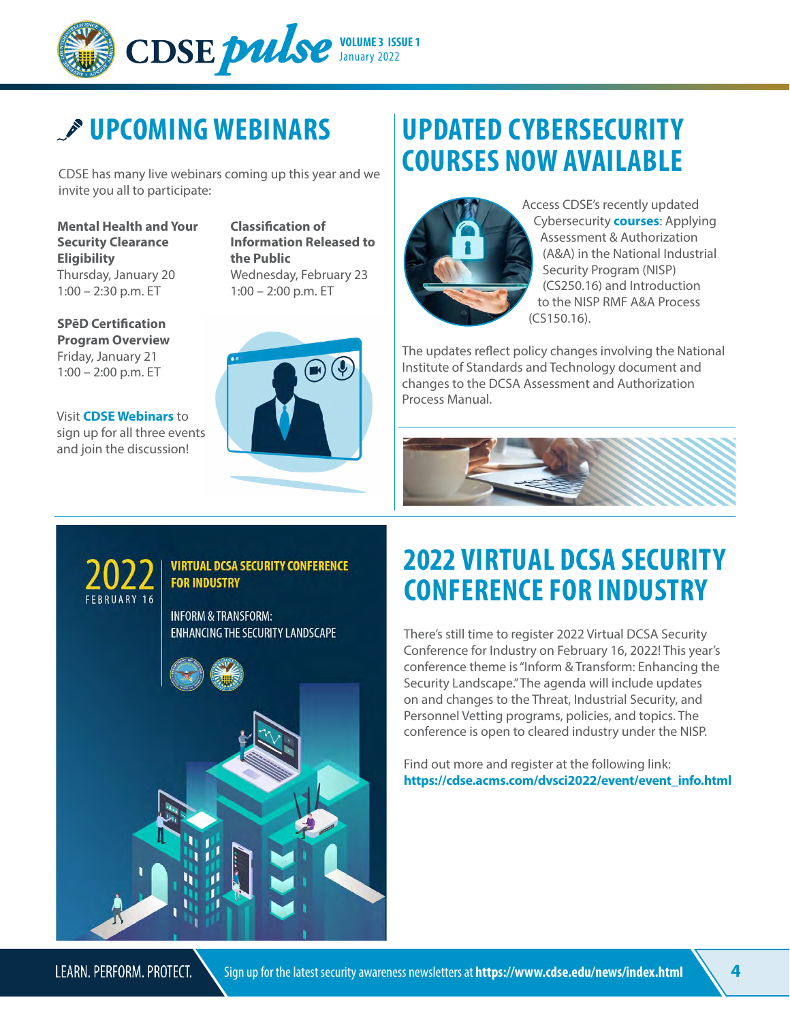

## *P* UPCOMING WEBINARS

CDSE has many live webinars coming up this year and we invite you all to participate:

**Mental Health and Your Security Clearance Eligibility**  Thursday, January 20 1:00 – 2:30 p.m. ET

**SPēD Certifcation Program Overview**  Friday, January 21 1:00 – 2:00 p.m. ET

Visit **[CDSE Webinars](https://www.cdse.edu/Training/Webinars-and-Conferences/)** to sign up for all three events and join the discussion!

**Classifcation of Information Released to the Public**  Wednesday, February 23 1:00 – 2:00 p.m. ET



## **UPDATED CYBERSECURITY COURSES NOW AVAILABLE**



Access CDSE's recently updated Cybersecurity **[courses](https://www.cdse.edu/Training/Cybersecurity/)**: Applying Assessment & Authorization (A&A) in the National Industrial Security Program (NISP) (CS250.16) and Introduction to the NISP RMF A&A Process (CS150.16).

The updates refect policy changes involving the National Institute of Standards and Technology document and changes to the DCSA Assessment and Authorization Process Manual.





## **2022 VIRTUAL DCSA SECURITY CONFERENCE FOR INDUSTRY**

There's still time to register 2022 Virtual DCSA Security Conference for Industry on February 16, 2022! This year's conference theme is "Inform & Transform: Enhancing the Security Landscape."The agenda will include updates on and changes to the Threat, Industrial Security, and Personnel Vetting programs, policies, and topics. The conference is open to cleared industry under the NISP.

Find out more and register at the following link: **[https://cdse.acms.com/dvsci2022/event/event\\_info.html](https://cdse-events.acms.com/content/connect/c1/7/en/events/event/shared/45679477/event_landing.html?sco-id=45659985&_charset_=utf-8)**